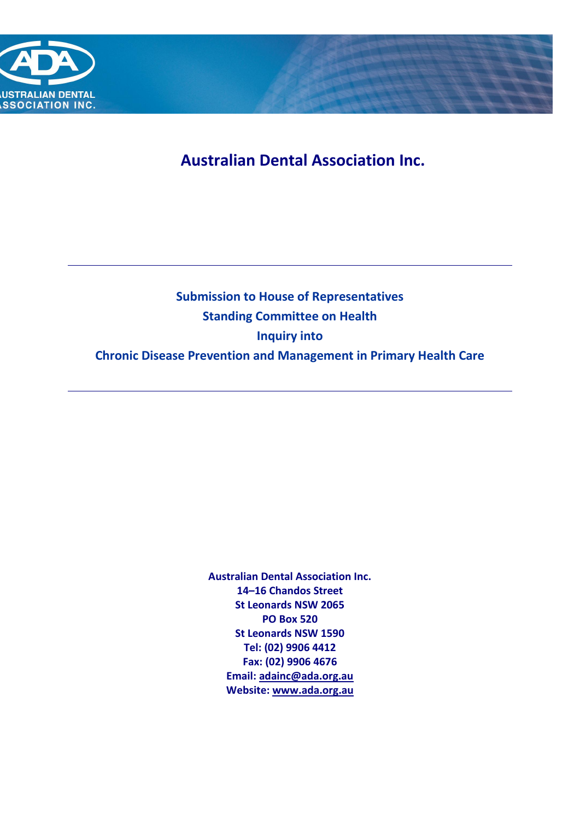

**Australian Dental Association Inc.**

# **Submission to House of Representatives Standing Committee on Health Inquiry into Chronic Disease Prevention and Management in Primary Health Care**

**Australian Dental Association Inc. 14–16 Chandos Street St Leonards NSW 2065 PO Box 520 St Leonards NSW 1590 Tel: (02) 9906 4412 Fax: (02) 9906 4676 Email: [adainc@ada.org.au](mailto:adainc@ada.org.au) Website[: www.ada.org.au](http://www.ada.org.au/)**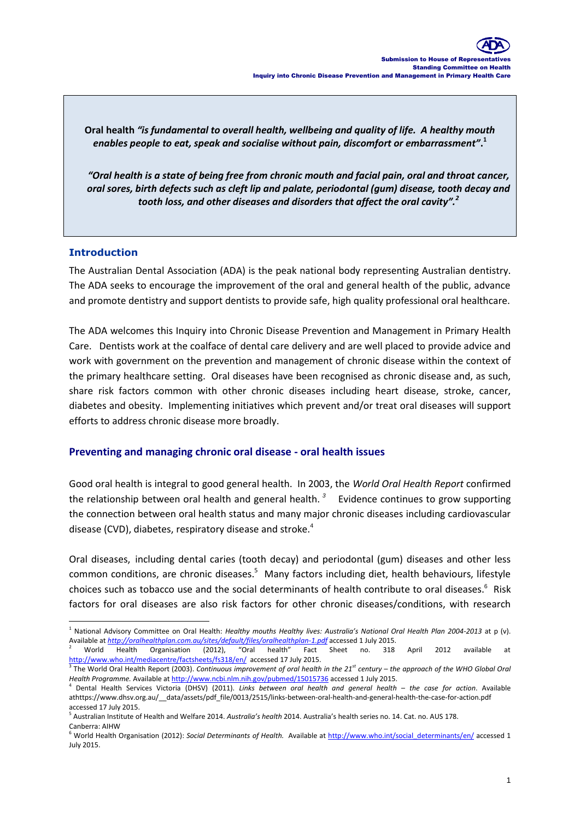**Oral health** *"is fundamental to overall health, wellbeing and quality of life. A healthy mouth enables people to eat, speak and socialise without pain, discomfort or embarrassment"***. 1**

*"Oral health is a state of being free from chronic mouth and facial pain, oral and throat cancer, oral sores, birth defects such as cleft lip and palate, periodontal (gum) disease, tooth decay and tooth loss, and other diseases and disorders that affect the oral cavity".<sup>2</sup>*

#### **Introduction**

The Australian Dental Association (ADA) is the peak national body representing Australian dentistry. The ADA seeks to encourage the improvement of the oral and general health of the public, advance and promote dentistry and support dentists to provide safe, high quality professional oral healthcare.

The ADA welcomes this Inquiry into Chronic Disease Prevention and Management in Primary Health Care. Dentists work at the coalface of dental care delivery and are well placed to provide advice and work with government on the prevention and management of chronic disease within the context of the primary healthcare setting. Oral diseases have been recognised as chronic disease and, as such, share risk factors common with other chronic diseases including heart disease, stroke, cancer, diabetes and obesity. Implementing initiatives which prevent and/or treat oral diseases will support efforts to address chronic disease more broadly.

#### **Preventing and managing chronic oral disease - oral health issues**

Good oral health is integral to good general health. In 2003, the *World Oral Health Report* confirmed the relationship between oral health and general health. *<sup>3</sup>* Evidence continues to grow supporting the connection between oral health status and many major chronic diseases including cardiovascular disease (CVD), diabetes, respiratory disease and stroke.<sup>4</sup>

Oral diseases, including dental caries (tooth decay) and periodontal (gum) diseases and other less common conditions, are chronic diseases.<sup>5</sup> Many factors including diet, health behaviours, lifestyle choices such as tobacco use and the social determinants of health contribute to oral diseases. $^6$  Risk factors for oral diseases are also risk factors for other chronic diseases/conditions, with research

 <sup>1</sup> National Advisory Committee on Oral Health: *Healthy mouths Healthy lives: Australia's National Oral Health Plan 2004-2013* at p (v). Available at *<http://oralhealthplan.com.au/sites/default/files/oralhealthplan-1.pdf>* accessed 1 July 2015.

 $^2$  World Health Organisation (2012), "Oral health" Fact Sheet no. 318 April 2012 available at <http://www.who.int/mediacentre/factsheets/fs318/en/>accessed 17 July 2015.

<sup>3</sup> The World Oral Health Report (2003). *Continuous improvement of oral health in the 21st century – the approach of the WHO Global Oral Health Programme.* Available a[t http://www.ncbi.nlm.nih.gov/pubmed/15015736](http://www.ncbi.nlm.nih.gov/pubmed/15015736) accessed 1 July 2015.

<sup>4</sup> Dental Health Services Victoria (DHSV) (2011). *Links between oral health and general health – the case for action*. Available athttps://www.dhsv.org.au/\_\_data/assets/pdf\_file/0013/2515/links-between-oral-health-and-general-health-the-case-for-action.pdf accessed 17 July 2015.

<sup>5</sup> Australian Institute of Health and Welfare 2014. *Australia's health* 2014. Australia's health series no. 14. Cat. no. AUS 178. Canberra: AIHW

<sup>6</sup> World Health Organisation (2012): *Social Determinants of Health.* Available at [http://www.who.int/social\\_determinants/en/](http://www.who.int/social_determinants/en/) accessed 1 July 2015.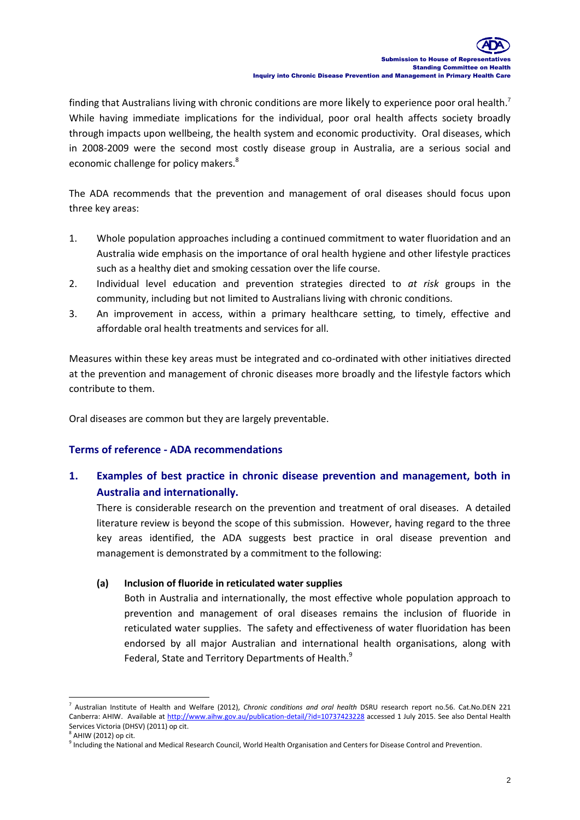finding that Australians living with chronic conditions are more likely to experience poor oral health.<sup>7</sup> While having immediate implications for the individual, poor oral health affects society broadly through impacts upon wellbeing, the health system and economic productivity. Oral diseases, which in 2008-2009 were the second most costly disease group in Australia, are a serious social and economic challenge for policy makers.<sup>8</sup>

The ADA recommends that the prevention and management of oral diseases should focus upon three key areas:

- 1. Whole population approaches including a continued commitment to water fluoridation and an Australia wide emphasis on the importance of oral health hygiene and other lifestyle practices such as a healthy diet and smoking cessation over the life course.
- 2. Individual level education and prevention strategies directed to *at risk* groups in the community, including but not limited to Australians living with chronic conditions.
- 3. An improvement in access, within a primary healthcare setting, to timely, effective and affordable oral health treatments and services for all.

Measures within these key areas must be integrated and co-ordinated with other initiatives directed at the prevention and management of chronic diseases more broadly and the lifestyle factors which contribute to them.

Oral diseases are common but they are largely preventable.

#### **Terms of reference - ADA recommendations**

**1. Examples of best practice in chronic disease prevention and management, both in Australia and internationally.**

There is considerable research on the prevention and treatment of oral diseases. A detailed literature review is beyond the scope of this submission. However, having regard to the three key areas identified, the ADA suggests best practice in oral disease prevention and management is demonstrated by a commitment to the following:

#### **(a) Inclusion of fluoride in reticulated water supplies**

Both in Australia and internationally, the most effective whole population approach to prevention and management of oral diseases remains the inclusion of fluoride in reticulated water supplies. The safety and effectiveness of water fluoridation has been endorsed by all major Australian and international health organisations, along with Federal, State and Territory Departments of Health.<sup>9</sup>

-

<sup>7</sup> Australian Institute of Health and Welfare (2012), *Chronic conditions and oral health* DSRU research report no.56. Cat.No.DEN 221 Canberra: AHIW. Available at<http://www.aihw.gov.au/publication-detail/?id=10737423228> accessed 1 July 2015. See also Dental Health Services Victoria (DHSV) (2011) op cit.

<sup>8</sup> AHIW (2012) op cit.

<sup>&</sup>lt;sup>9</sup> Including the National and Medical Research Council, World Health Organisation and Centers for Disease Control and Prevention.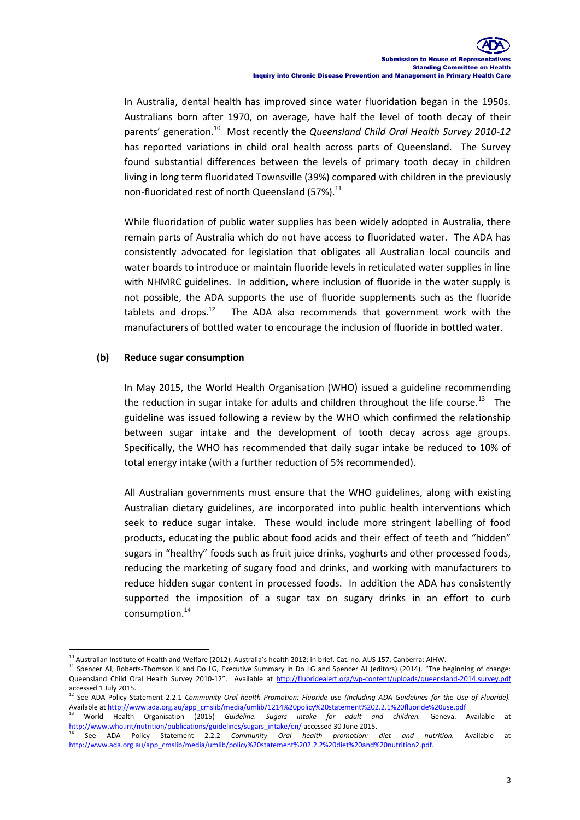In Australia, dental health has improved since water fluoridation began in the 1950s. Australians born after 1970, on average, have half the level of tooth decay of their parents' generation.<sup>10</sup> Most recently the *Queensland Child Oral Health Survey 2010-12* has reported variations in child oral health across parts of Queensland. The Survey found substantial differences between the levels of primary tooth decay in children living in long term fluoridated Townsville (39%) compared with children in the previously non-fluoridated rest of north Queensland (57%). $^{11}$ 

While fluoridation of public water supplies has been widely adopted in Australia, there remain parts of Australia which do not have access to fluoridated water. The ADA has consistently advocated for legislation that obligates all Australian local councils and water boards to introduce or maintain fluoride levels in reticulated water supplies in line with NHMRC guidelines. In addition, where inclusion of fluoride in the water supply is not possible, the ADA supports the use of fluoride supplements such as the fluoride tablets and drops. $12$  The ADA also recommends that government work with the manufacturers of bottled water to encourage the inclusion of fluoride in bottled water.

#### **(b) Reduce sugar consumption**

In May 2015, the World Health Organisation (WHO) issued a guideline recommending the reduction in sugar intake for adults and children throughout the life course.<sup>13</sup> The guideline was issued following a review by the WHO which confirmed the relationship between sugar intake and the development of tooth decay across age groups. Specifically, the WHO has recommended that daily sugar intake be reduced to 10% of total energy intake (with a further reduction of 5% recommended).

All Australian governments must ensure that the WHO guidelines, along with existing Australian dietary guidelines, are incorporated into public health interventions which seek to reduce sugar intake. These would include more stringent labelling of food products, educating the public about food acids and their effect of teeth and "hidden" sugars in "healthy" foods such as fruit juice drinks, yoghurts and other processed foods, reducing the marketing of sugary food and drinks, and working with manufacturers to reduce hidden sugar content in processed foods. In addition the ADA has consistently supported the imposition of a sugar tax on sugary drinks in an effort to curb consumption.<sup>14</sup>

<sup>-</sup> $^{10}$  Australian Institute of Health and Welfare (2012). Australia's health 2012: in brief. Cat. no. AUS 157. Canberra: AIHW.

<sup>&</sup>lt;sup>11</sup> Spencer AJ, Roberts-Thomson K and Do LG, Executive Summary in Do LG and Spencer AJ (editors) (2014). "The beginning of change: Queensland Child Oral Health Survey 2010-12". Available at <http://fluoridealert.org/wp-content/uploads/queensland-2014.survey.pdf> accessed 1 July 2015.

<sup>&</sup>lt;sup>12</sup> See ADA Policy Statement 2.2.1 *Community Oral health Promotion: Fluoride use (Including ADA Guidelines for the Use of Fluoride).* Available a[t http://www.ada.org.au/app\\_cmslib/media/umlib/1214%20policy%20statement%202.2.1%20fluoride%20use.pdf](http://www.ada.org.au/app_cmslib/media/umlib/1214%20policy%20statement%202.2.1%20fluoride%20use.pdf)

<sup>13</sup> World Health Organisation (2015) *Guideline. Sugars intake for adult and children.* Geneva. Available at [http://www.who.int/nutrition/publications/guidelines/sugars\\_intake/en/](http://www.who.int/nutrition/publications/guidelines/sugars_intake/en/) accessed 30 June 2015.

<sup>14</sup> See ADA Policy Statement 2.2.2 *Community Oral health promotion: diet and nutrition.* Available at http://www.ada.org.au/app\_cmslib/media/umlib/policy%20statement%202.2.2%20diet%20and%20nutrition2.pdf.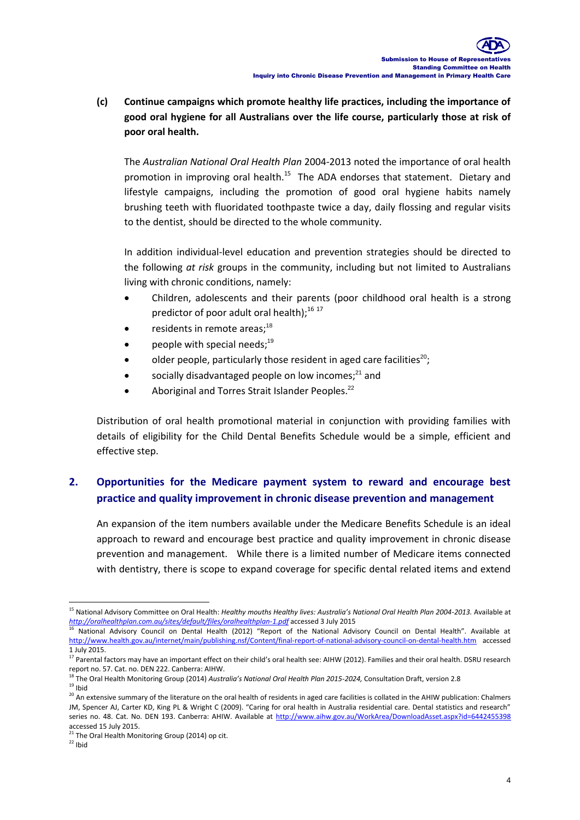**(c) Continue campaigns which promote healthy life practices, including the importance of good oral hygiene for all Australians over the life course, particularly those at risk of poor oral health.** 

The *Australian National Oral Health Plan* 2004-2013 noted the importance of oral health promotion in improving oral health.<sup>15</sup> The ADA endorses that statement. Dietary and lifestyle campaigns, including the promotion of good oral hygiene habits namely brushing teeth with fluoridated toothpaste twice a day, daily flossing and regular visits to the dentist, should be directed to the whole community.

In addition individual-level education and prevention strategies should be directed to the following *at risk* groups in the community, including but not limited to Australians living with chronic conditions, namely:

- Children, adolescents and their parents (poor childhood oral health is a strong predictor of poor adult oral health); $^{16}$  17
- residents in remote areas;<sup>18</sup>
- people with special needs;<sup>19</sup>
- older people, particularly those resident in aged care facilities<sup>20</sup>;
- socially disadvantaged people on low incomes; $^{21}$  and
- Aboriginal and Torres Strait Islander Peoples.<sup>22</sup>

Distribution of oral health promotional material in conjunction with providing families with details of eligibility for the Child Dental Benefits Schedule would be a simple, efficient and effective step.

# **2. Opportunities for the Medicare payment system to reward and encourage best practice and quality improvement in chronic disease prevention and management**

An expansion of the item numbers available under the Medicare Benefits Schedule is an ideal approach to reward and encourage best practice and quality improvement in chronic disease prevention and management. While there is a limited number of Medicare items connected with dentistry, there is scope to expand coverage for specific dental related items and extend

<sup>-</sup><sup>15</sup> National Advisory Committee on Oral Health: *Healthy mouths Healthy lives: Australia's National Oral Health Plan 2004-2013.* Available at *<http://oralhealthplan.com.au/sites/default/files/oralhealthplan-1.pdf>* accessed 3 July 2015

<sup>16</sup> National Advisory Council on Dental Health (2012) "Report of the National Advisory Council on Dental Health". Available at <http://www.health.gov.au/internet/main/publishing.nsf/Content/final-report-of-national-advisory-council-on-dental-health.htm> accessed 1 July 2015.

<sup>&</sup>lt;sup>17</sup> Parental factors may have an important effect on their child's oral health see: AIHW (2012). Families and their oral health. DSRU research report no. 57. Cat. no. DEN 222. Canberra: AIHW.

<sup>18</sup> The Oral Health Monitoring Group (2014) *Australia's National Oral Health Plan 2015-2024,* Consultation Draft, version 2.8  $19$  Ibid

<sup>&</sup>lt;sup>20</sup> An extensive summary of the literature on the oral health of residents in aged care facilities is collated in the AHIW publication: Chalmers JM, Spencer AJ, Carter KD, King PL & Wright C (2009). "Caring for oral health in Australia residential care. Dental statistics and research" series no. 48. Cat. No. DEN 193. Canberra: AHIW. Available at<http://www.aihw.gov.au/WorkArea/DownloadAsset.aspx?id=6442455398> accessed 15 July 2015.

<sup>&</sup>lt;sup>21</sup> The Oral Health Monitoring Group (2014) op cit.

 $22$  Ibid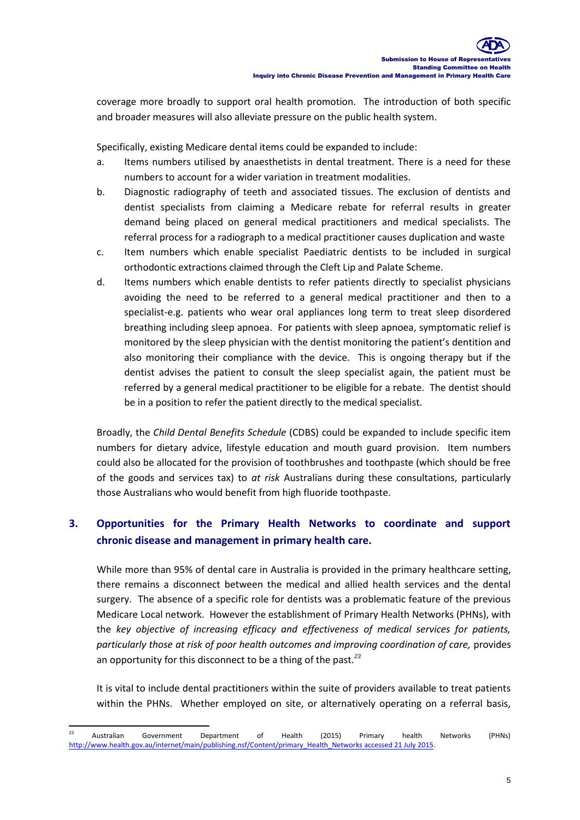coverage more broadly to support oral health promotion. The introduction of both specific and broader measures will also alleviate pressure on the public health system.

Specifically, existing Medicare dental items could be expanded to include:

- a. Items numbers utilised by anaesthetists in dental treatment. There is a need for these numbers to account for a wider variation in treatment modalities.
- b. Diagnostic radiography of teeth and associated tissues. The exclusion of dentists and dentist specialists from claiming a Medicare rebate for referral results in greater demand being placed on general medical practitioners and medical specialists. The referral process for a radiograph to a medical practitioner causes duplication and waste
- c. Item numbers which enable specialist Paediatric dentists to be included in surgical orthodontic extractions claimed through the Cleft Lip and Palate Scheme.
- d. Items numbers which enable dentists to refer patients directly to specialist physicians avoiding the need to be referred to a general medical practitioner and then to a specialist-e.g. patients who wear oral appliances long term to treat sleep disordered breathing including sleep apnoea. For patients with sleep apnoea, symptomatic relief is monitored by the sleep physician with the dentist monitoring the patient's dentition and also monitoring their compliance with the device. This is ongoing therapy but if the dentist advises the patient to consult the sleep specialist again, the patient must be referred by a general medical practitioner to be eligible for a rebate. The dentist should be in a position to refer the patient directly to the medical specialist.

Broadly, the *Child Dental Benefits Schedule* (CDBS) could be expanded to include specific item numbers for dietary advice, lifestyle education and mouth guard provision. Item numbers could also be allocated for the provision of toothbrushes and toothpaste (which should be free of the goods and services tax) to *at risk* Australians during these consultations, particularly those Australians who would benefit from high fluoride toothpaste.

# **3. Opportunities for the Primary Health Networks to coordinate and support chronic disease and management in primary health care.**

While more than 95% of dental care in Australia is provided in the primary healthcare setting, there remains a disconnect between the medical and allied health services and the dental surgery. The absence of a specific role for dentists was a problematic feature of the previous Medicare Local network. However the establishment of Primary Health Networks (PHNs), with the *key objective of increasing efficacy and effectiveness of medical services for patients, particularly those at risk of poor health outcomes and improving coordination of care,* provides an opportunity for this disconnect to be a thing of the past.*<sup>23</sup>*

It is vital to include dental practitioners within the suite of providers available to treat patients within the PHNs. Whether employed on site, or alternatively operating on a referral basis,

<sup>-</sup><sup>23</sup> Australian Government Department of Health (2015) Primary health Networks (PHNs) [http://www.health.gov.au/internet/main/publishing.nsf/Content/primary\\_Health\\_Networks accessed 21 July 2015.](http://www.health.gov.au/internet/main/publishing.nsf/Content/primary_Health_Networks%20accessed%2021%20July%202015)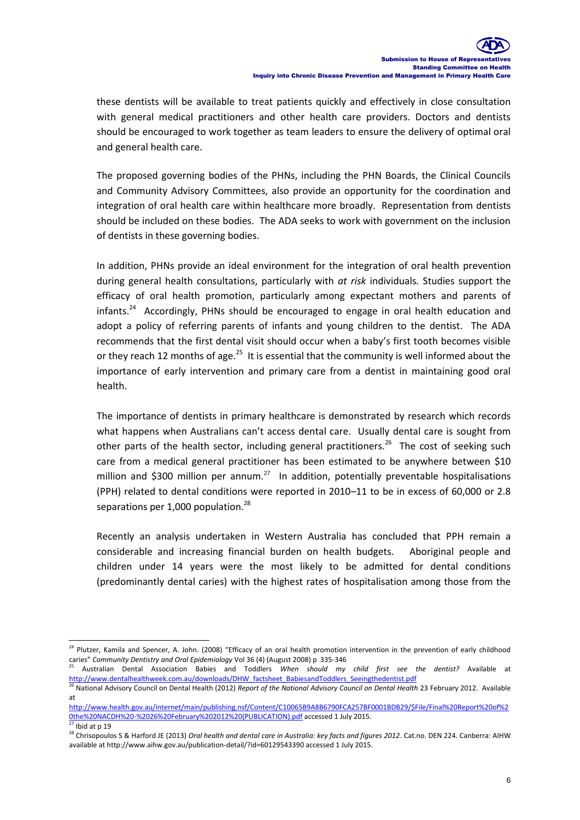these dentists will be available to treat patients quickly and effectively in close consultation with general medical practitioners and other health care providers. Doctors and dentists should be encouraged to work together as team leaders to ensure the delivery of optimal oral and general health care.

The proposed governing bodies of the PHNs, including the PHN Boards, the Clinical Councils and Community Advisory Committees, also provide an opportunity for the coordination and integration of oral health care within healthcare more broadly. Representation from dentists should be included on these bodies. The ADA seeks to work with government on the inclusion of dentists in these governing bodies.

In addition, PHNs provide an ideal environment for the integration of oral health prevention during general health consultations, particularly with *at risk* individuals*.* Studies support the efficacy of oral health promotion, particularly among expectant mothers and parents of infants.<sup>24</sup> Accordingly, PHNs should be encouraged to engage in oral health education and adopt a policy of referring parents of infants and young children to the dentist. The ADA recommends that the first dental visit should occur when a baby's first tooth becomes visible or they reach 12 months of age.<sup>25</sup> It is essential that the community is well informed about the importance of early intervention and primary care from a dentist in maintaining good oral health.

The importance of dentists in primary healthcare is demonstrated by research which records what happens when Australians can't access dental care. Usually dental care is sought from other parts of the health sector, including general practitioners.<sup>26</sup> The cost of seeking such care from a medical general practitioner has been estimated to be anywhere between \$10 million and \$300 million per annum.<sup>27</sup> In addition, potentially preventable hospitalisations (PPH) related to dental conditions were reported in 2010–11 to be in excess of 60,000 or 2.8 separations per 1,000 population.<sup>28</sup>

Recently an analysis undertaken in Western Australia has concluded that PPH remain a considerable and increasing financial burden on health budgets. Aboriginal people and children under 14 years were the most likely to be admitted for dental conditions (predominantly dental caries) with the highest rates of hospitalisation among those from the

-

<sup>&</sup>lt;sup>24</sup> Plutzer, Kamila and Spencer, A. John. (2008) "Efficacy of an oral health promotion intervention in the prevention of early childhood caries" *Community Dentistry and Oral Epidemiology* Vol 36 (4) (August 2008) p 335-346

<sup>25</sup> Australian Dental Association Babies and Toddlers *When should my child first see the dentist?* Available at [http://www.dentalhealthweek.com.au/downloads/DHW\\_factsheet\\_BabiesandToddlers\\_Seeingthedentist.pdf](http://www.dentalhealthweek.com.au/downloads/DHW_factsheet_BabiesandToddlers_Seeingthedentist.pdf)

<sup>26</sup> National Advisory Council on Dental Health (2012) *Report of the National Advisory Council on Dental Health* 23 February 2012. Available at

[http://www.health.gov.au/internet/main/publishing.nsf/Content/C10065B9A8B6790FCA257BF0001BDB29/\\$File/Final%20Report%20of%2](http://www.health.gov.au/internet/main/publishing.nsf/Content/C10065B9A8B6790FCA257BF0001BDB29/$File/Final%20Report%20of%20the%20NACDH%20-%2026%20February%202012%20(PUBLICATION).pdf) [0the%20NACDH%20-%2026%20February%202012%20\(PUBLICATION\).pdf](http://www.health.gov.au/internet/main/publishing.nsf/Content/C10065B9A8B6790FCA257BF0001BDB29/$File/Final%20Report%20of%20the%20NACDH%20-%2026%20February%202012%20(PUBLICATION).pdf) accessed 1 July 2015.

 $\overline{27}$  Ibid at p 19

<sup>&</sup>lt;sup>28</sup> Chrisopoulos S & Harford JE (2013) *Oral health and dental care in Australia: key facts and figures 2012*. Cat.no. DEN 224. Canberra: AIHW available at http://www.aihw.gov.au/publication-detail/?id=60129543390 accessed 1 July 2015.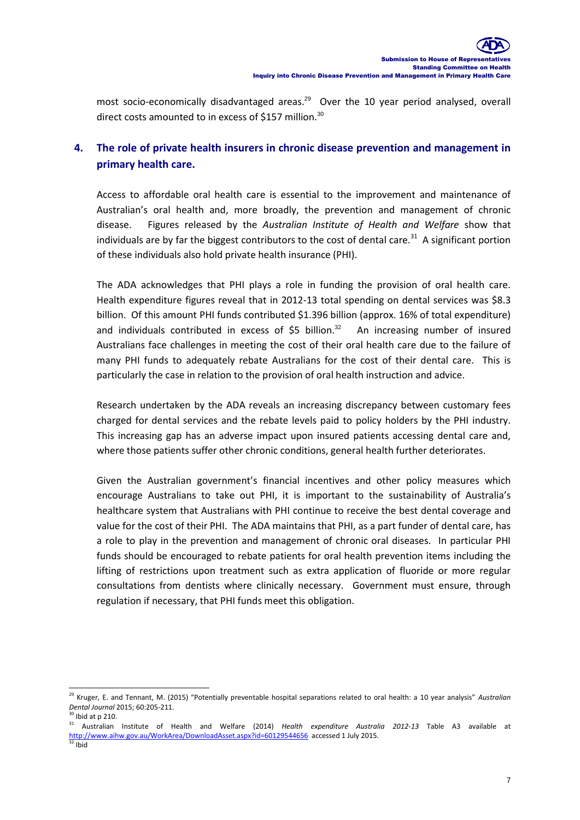most socio-economically disadvantaged areas.<sup>29</sup> Over the 10 year period analysed, overall direct costs amounted to in excess of \$157 million. $^{30}$ 

# **4. The role of private health insurers in chronic disease prevention and management in primary health care.**

Access to affordable oral health care is essential to the improvement and maintenance of Australian's oral health and, more broadly, the prevention and management of chronic disease. Figures released by the *Australian Institute of Health and Welfare* show that individuals are by far the biggest contributors to the cost of dental care.<sup>31</sup> A significant portion of these individuals also hold private health insurance (PHI).

The ADA acknowledges that PHI plays a role in funding the provision of oral health care. Health expenditure figures reveal that in 2012-13 total spending on dental services was \$8.3 billion. Of this amount PHI funds contributed \$1.396 billion (approx. 16% of total expenditure) and individuals contributed in excess of  $$5$  billion.<sup>32</sup> An increasing number of insured Australians face challenges in meeting the cost of their oral health care due to the failure of many PHI funds to adequately rebate Australians for the cost of their dental care. This is particularly the case in relation to the provision of oral health instruction and advice.

Research undertaken by the ADA reveals an increasing discrepancy between customary fees charged for dental services and the rebate levels paid to policy holders by the PHI industry. This increasing gap has an adverse impact upon insured patients accessing dental care and, where those patients suffer other chronic conditions, general health further deteriorates.

Given the Australian government's financial incentives and other policy measures which encourage Australians to take out PHI, it is important to the sustainability of Australia's healthcare system that Australians with PHI continue to receive the best dental coverage and value for the cost of their PHI. The ADA maintains that PHI, as a part funder of dental care, has a role to play in the prevention and management of chronic oral diseases. In particular PHI funds should be encouraged to rebate patients for oral health prevention items including the lifting of restrictions upon treatment such as extra application of fluoride or more regular consultations from dentists where clinically necessary. Government must ensure, through regulation if necessary, that PHI funds meet this obligation.

<sup>-</sup><sup>29</sup> Kruger, E. and Tennant, M. (2015) "Potentially preventable hospital separations related to oral health: a 10 year analysis" *Australian Dental Journal* 2015; 60:205-211.

 $30$  Ibid at p 210.

<sup>31</sup> Australian Institute of Health and Welfare (2014) *Health expenditure Australia 2012-13* Table A3 available at <http://www.aihw.gov.au/WorkArea/DownloadAsset.aspx?id=60129544656>accessed 1 July 2015.  $32$  Ibid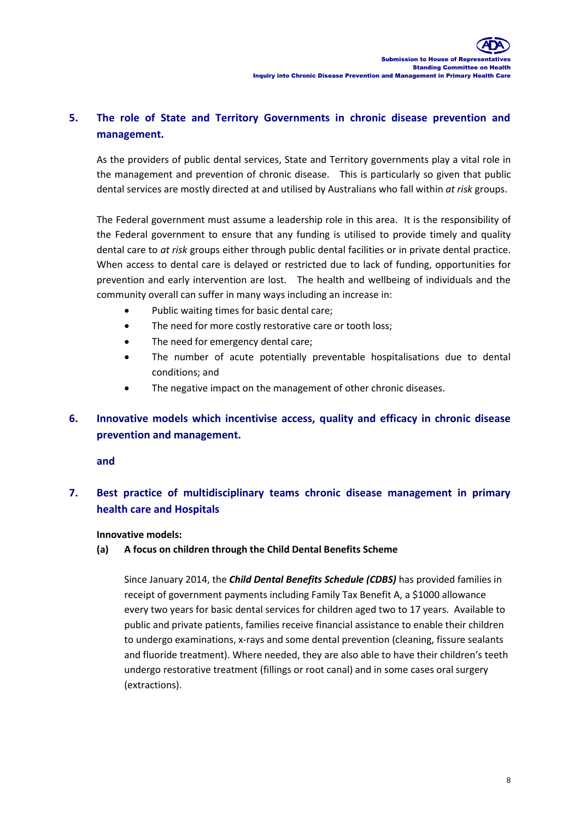# **5. The role of State and Territory Governments in chronic disease prevention and management.**

As the providers of public dental services, State and Territory governments play a vital role in the management and prevention of chronic disease. This is particularly so given that public dental services are mostly directed at and utilised by Australians who fall within *at risk* groups.

The Federal government must assume a leadership role in this area. It is the responsibility of the Federal government to ensure that any funding is utilised to provide timely and quality dental care to *at risk* groups either through public dental facilities or in private dental practice. When access to dental care is delayed or restricted due to lack of funding, opportunities for prevention and early intervention are lost. The health and wellbeing of individuals and the community overall can suffer in many ways including an increase in:

- Public waiting times for basic dental care;
- The need for more costly restorative care or tooth loss;
- The need for emergency dental care;
- The number of acute potentially preventable hospitalisations due to dental conditions; and
- The negative impact on the management of other chronic diseases.

### **6. Innovative models which incentivise access, quality and efficacy in chronic disease prevention and management.**

**and**

### **7. Best practice of multidisciplinary teams chronic disease management in primary health care and Hospitals**

#### **Innovative models:**

#### **(a) A focus on children through the Child Dental Benefits Scheme**

Since January 2014, the *Child Dental Benefits Schedule (CDBS)* has provided families in receipt of government payments including Family Tax Benefit A, a \$1000 allowance every two years for basic dental services for children aged two to 17 years. Available to public and private patients, families receive financial assistance to enable their children to undergo examinations, x-rays and some dental prevention (cleaning, fissure sealants and fluoride treatment). Where needed, they are also able to have their children's teeth undergo restorative treatment (fillings or root canal) and in some cases oral surgery (extractions).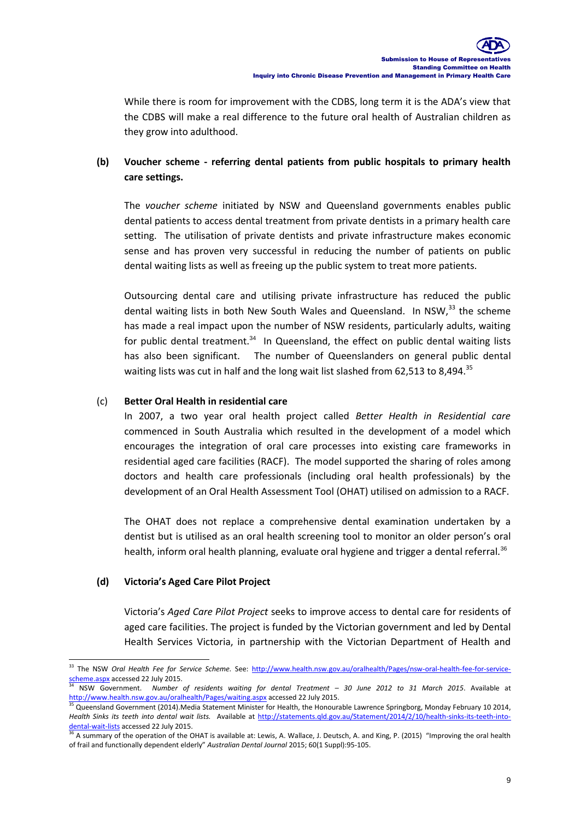While there is room for improvement with the CDBS, long term it is the ADA's view that the CDBS will make a real difference to the future oral health of Australian children as they grow into adulthood.

### **(b) Voucher scheme - referring dental patients from public hospitals to primary health care settings.**

The *voucher scheme* initiated by NSW and Queensland governments enables public dental patients to access dental treatment from private dentists in a primary health care setting. The utilisation of private dentists and private infrastructure makes economic sense and has proven very successful in reducing the number of patients on public dental waiting lists as well as freeing up the public system to treat more patients.

Outsourcing dental care and utilising private infrastructure has reduced the public dental waiting lists in both New South Wales and Queensland. In NSW,<sup>33</sup> the scheme has made a real impact upon the number of NSW residents, particularly adults, waiting for public dental treatment.<sup>34</sup> In Queensland, the effect on public dental waiting lists has also been significant. The number of Queenslanders on general public dental waiting lists was cut in half and the long wait list slashed from 62,513 to 8,494. $35$ 

#### (c) **Better Oral Health in residential care**

In 2007, a two year oral health project called *Better Health in Residential care* commenced in South Australia which resulted in the development of a model which encourages the integration of oral care processes into existing care frameworks in residential aged care facilities (RACF). The model supported the sharing of roles among doctors and health care professionals (including oral health professionals) by the development of an Oral Health Assessment Tool (OHAT) utilised on admission to a RACF.

The OHAT does not replace a comprehensive dental examination undertaken by a dentist but is utilised as an oral health screening tool to monitor an older person's oral health, inform oral health planning, evaluate oral hygiene and trigger a dental referral.<sup>36</sup>

#### **(d) Victoria's Aged Care Pilot Project**

-

Victoria's *Aged Care Pilot Project* seeks to improve access to dental care for residents of aged care facilities. The project is funded by the Victorian government and led by Dental Health Services Victoria, in partnership with the Victorian Department of Health and

<sup>33</sup> The NSW *Oral Health Fee for Service Scheme.* See: [http://www.health.nsw.gov.au/oralhealth/Pages/nsw-oral-health-fee-for-service](http://www.health.nsw.gov.au/oralhealth/Pages/nsw-oral-health-fee-for-service-scheme.aspx)[scheme.aspx](http://www.health.nsw.gov.au/oralhealth/Pages/nsw-oral-health-fee-for-service-scheme.aspx) accessed 22 July 2015.

<sup>34</sup> NSW Government. *Number of residents waiting for dental Treatment – 30 June 2012 to 31 March 2015*. Available at <http://www.health.nsw.gov.au/oralhealth/Pages/waiting.aspx> accessed 22 July 2015.

<sup>&</sup>lt;sup>35</sup> Queensland Government (2014).Media Statement Minister for Health, the Honourable Lawrence Springborg, Monday February 10 2014, *Health Sinks its teeth into dental wait lists.* Available at [http://statements.qld.gov.au/Statement/2014/2/10/health-sinks-its-teeth-into](http://statements.qld.gov.au/Statement/2014/2/10/health-sinks-its-teeth-into-dental-wait-lists)[dental-wait-lists](http://statements.qld.gov.au/Statement/2014/2/10/health-sinks-its-teeth-into-dental-wait-lists) accessed 22 July 2015.

<sup>&</sup>lt;sup>36</sup> A summary of the operation of the OHAT is available at: Lewis, A. Wallace, J. Deutsch, A. and King, P. (2015) "Improving the oral health of frail and functionally dependent elderly" *Australian Dental Journal* 2015; 60(1 Suppl):95-105.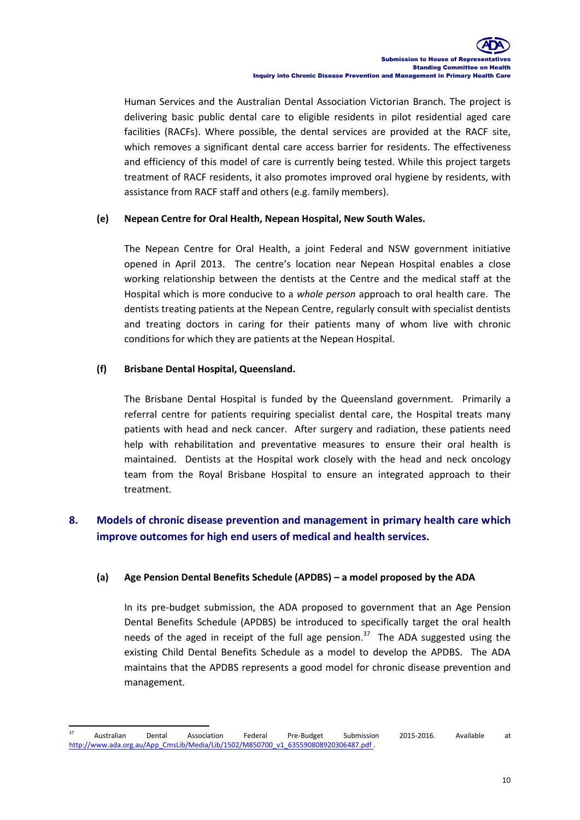Human Services and the Australian Dental Association Victorian Branch. The project is delivering basic public dental care to eligible residents in pilot residential aged care facilities (RACFs). Where possible, the dental services are provided at the RACF site, which removes a significant dental care access barrier for residents. The effectiveness and efficiency of this model of care is currently being tested. While this project targets treatment of RACF residents, it also promotes improved oral hygiene by residents, with assistance from RACF staff and others (e.g. family members).

#### **(e) Nepean Centre for Oral Health, Nepean Hospital, New South Wales.**

The Nepean Centre for Oral Health, a joint Federal and NSW government initiative opened in April 2013. The centre's location near Nepean Hospital enables a close working relationship between the dentists at the Centre and the medical staff at the Hospital which is more conducive to a *whole person* approach to oral health care. The dentists treating patients at the Nepean Centre, regularly consult with specialist dentists and treating doctors in caring for their patients many of whom live with chronic conditions for which they are patients at the Nepean Hospital.

#### **(f) Brisbane Dental Hospital, Queensland.**

The Brisbane Dental Hospital is funded by the Queensland government. Primarily a referral centre for patients requiring specialist dental care, the Hospital treats many patients with head and neck cancer. After surgery and radiation, these patients need help with rehabilitation and preventative measures to ensure their oral health is maintained. Dentists at the Hospital work closely with the head and neck oncology team from the Royal Brisbane Hospital to ensure an integrated approach to their treatment.

### **8. Models of chronic disease prevention and management in primary health care which improve outcomes for high end users of medical and health services.**

#### **(a) Age Pension Dental Benefits Schedule (APDBS) – a model proposed by the ADA**

In its pre-budget submission, the ADA proposed to government that an Age Pension Dental Benefits Schedule (APDBS) be introduced to specifically target the oral health needs of the aged in receipt of the full age pension. $37$  The ADA suggested using the existing Child Dental Benefits Schedule as a model to develop the APDBS. The ADA maintains that the APDBS represents a good model for chronic disease prevention and management.

<sup>-</sup><sup>37</sup> Australian Dental Association Federal Pre-Budget Submission 2015-2016. Available at [http://www.ada.org.au/App\\_CmsLib/Media/Lib/1502/M850700\\_v1\\_635590808920306487.pdf .](http://www.ada.org.au/App_CmsLib/Media/Lib/1502/M850700_v1_635590808920306487.pdf)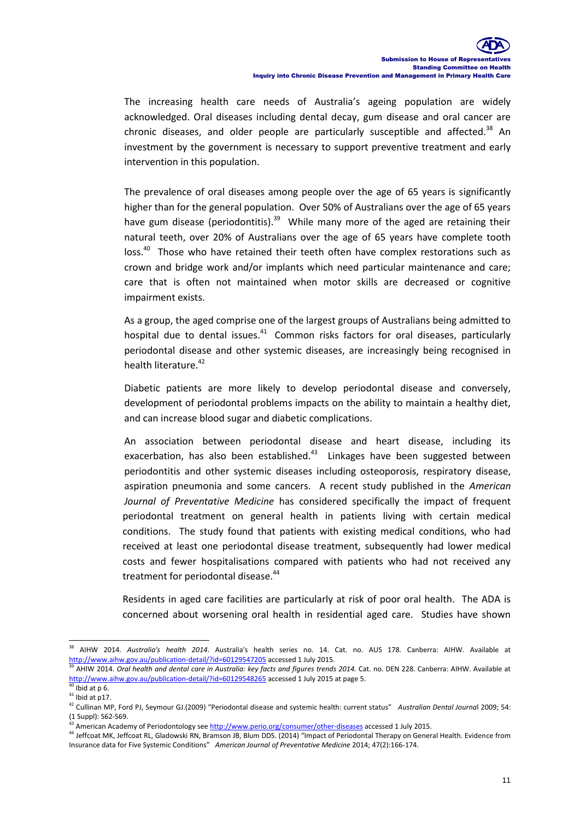The increasing health care needs of Australia's ageing population are widely acknowledged. Oral diseases including dental decay, gum disease and oral cancer are chronic diseases, and older people are particularly susceptible and affected. $38$  An investment by the government is necessary to support preventive treatment and early intervention in this population.

The prevalence of oral diseases among people over the age of 65 years is significantly higher than for the general population. Over 50% of Australians over the age of 65 years have gum disease (periodontitis).<sup>39</sup> While many more of the aged are retaining their natural teeth, over 20% of Australians over the age of 65 years have complete tooth loss.<sup>40</sup> Those who have retained their teeth often have complex restorations such as crown and bridge work and/or implants which need particular maintenance and care; care that is often not maintained when motor skills are decreased or cognitive impairment exists.

As a group, the aged comprise one of the largest groups of Australians being admitted to hospital due to dental issues. $41$  Common risks factors for oral diseases, particularly periodontal disease and other systemic diseases, are increasingly being recognised in health literature.<sup>42</sup>

Diabetic patients are more likely to develop periodontal disease and conversely, development of periodontal problems impacts on the ability to maintain a healthy diet, and can increase blood sugar and diabetic complications.

An association between periodontal disease and heart disease, including its exacerbation, has also been established.<sup>43</sup> Linkages have been suggested between periodontitis and other systemic diseases including osteoporosis, respiratory disease, aspiration pneumonia and some cancers. A recent study published in the *American Journal of Preventative Medicine* has considered specifically the impact of frequent periodontal treatment on general health in patients living with certain medical conditions. The study found that patients with existing medical conditions, who had received at least one periodontal disease treatment, subsequently had lower medical costs and fewer hospitalisations compared with patients who had not received any treatment for periodontal disease.<sup>44</sup>

Residents in aged care facilities are particularly at risk of poor oral health. The ADA is concerned about worsening oral health in residential aged care. Studies have shown

-

<sup>38</sup> AIHW 2014. *Australia's health 2014*. Australia's health series no. 14. Cat. no. AUS 178. Canberra: AIHW. Available at <http://www.aihw.gov.au/publication-detail/?id=60129547205> accessed 1 July 2015.

<sup>39</sup> AHIW 2014. *Oral health and dental care in Australia: key facts and figures trends 2014.* Cat. no. DEN 228. Canberra: AIHW. Available at <http://www.aihw.gov.au/publication-detail/?id=60129548265> accessed 1 July 2015 at page 5.

 $40$  Ibid at p 6.

 $41$  Ibid at p17.

<sup>42</sup> Cullinan MP, Ford PJ, Seymour GJ.(2009) "Periodontal disease and systemic health: current status" *Australian Dental Journa*l 2009; 54: (1 Suppl): S62-S69.

American Academy of Periodontology se[e http://www.perio.org/consumer/other-diseases](http://www.perio.org/consumer/other-diseases) accessed 1 July 2015.

<sup>44</sup> Jeffcoat MK, Jeffcoat RL, Gladowski RN, Bramson JB, Blum DDS. (2014) "Impact of Periodontal Therapy on General Health. Evidence from Insurance data for Five Systemic Conditions" *American Journal of Preventative Medicine* 2014; 47(2):166-174.